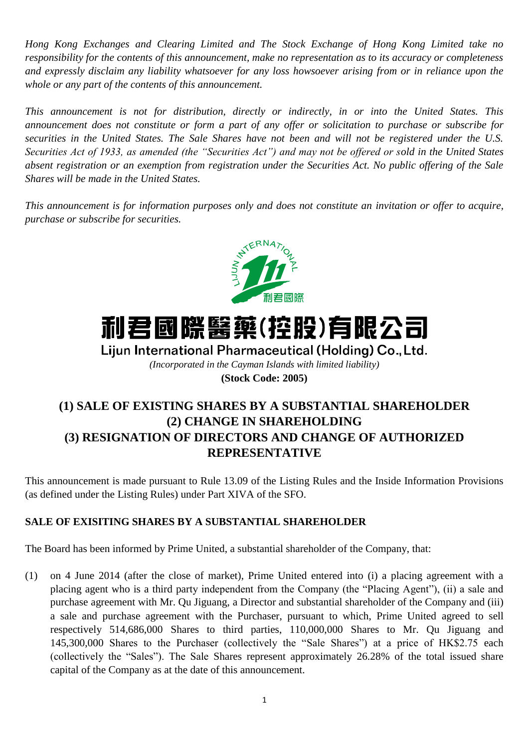*Hong Kong Exchanges and Clearing Limited and The Stock Exchange of Hong Kong Limited take no responsibility for the contents of this announcement, make no representation as to its accuracy or completeness and expressly disclaim any liability whatsoever for any loss howsoever arising from or in reliance upon the whole or any part of the contents of this announcement.*

*This announcement is not for distribution, directly or indirectly, in or into the United States. This announcement does not constitute or form a part of any offer or solicitation to purchase or subscribe for securities in the United States. The Sale Shares have not been and will not be registered under the U.S. Securities Act of 1933, as amended (the "Securities Act") and may not be offered or sold in the United States absent registration or an exemption from registration under the Securities Act. No public offering of the Sale Shares will be made in the United States.*

*This announcement is for information purposes only and does not constitute an invitation or offer to acquire, purchase or subscribe for securities.*



# 利君國際醫藥(控股)有限公司

Liiun International Pharmaceutical (Holding) Co., Ltd.

*(Incorporated in the Cayman Islands with limited liability)* **(Stock Code: 2005)**

# **(1) SALE OF EXISTING SHARES BY A SUBSTANTIAL SHAREHOLDER (2) CHANGE IN SHAREHOLDING (3) RESIGNATION OF DIRECTORS AND CHANGE OF AUTHORIZED REPRESENTATIVE**

This announcement is made pursuant to Rule 13.09 of the Listing Rules and the Inside Information Provisions (as defined under the Listing Rules) under Part XIVA of the SFO.

# **SALE OF EXISITING SHARES BY A SUBSTANTIAL SHAREHOLDER**

The Board has been informed by Prime United, a substantial shareholder of the Company, that:

(1) on 4 June 2014 (after the close of market), Prime United entered into (i) a placing agreement with a placing agent who is a third party independent from the Company (the "Placing Agent"), (ii) a sale and purchase agreement with Mr. Qu Jiguang, a Director and substantial shareholder of the Company and (iii) a sale and purchase agreement with the Purchaser, pursuant to which, Prime United agreed to sell respectively 514,686,000 Shares to third parties, 110,000,000 Shares to Mr. Qu Jiguang and 145,300,000 Shares to the Purchaser (collectively the "Sale Shares") at a price of HK\$2.75 each (collectively the "Sales"). The Sale Shares represent approximately 26.28% of the total issued share capital of the Company as at the date of this announcement.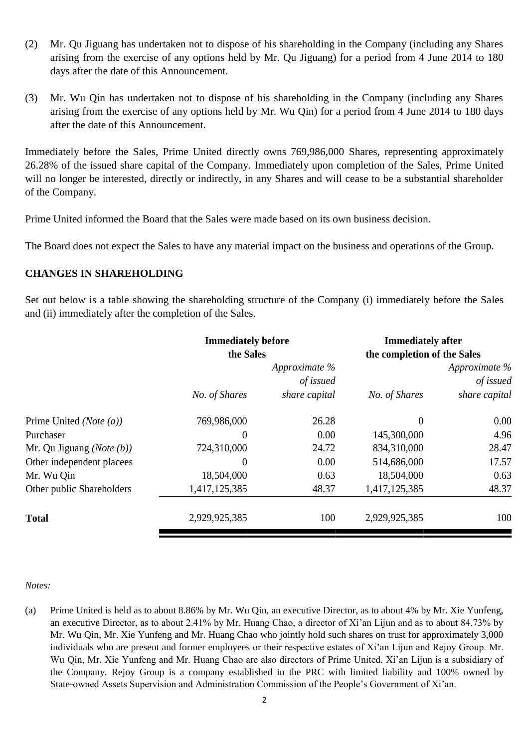- (2) Mr. Qu Jiguang has undertaken not to dispose of his shareholding in the Company (including any Shares arising from the exercise of any options held by Mr. Qu Jiguang) for a period from 4 June 2014 to 180 days after the date of this Announcement.
- (3) Mr. Wu Qin has undertaken not to dispose of his shareholding in the Company (including any Shares arising from the exercise of any options held by Mr. Wu Qin) for a period from 4 June 2014 to 180 days after the date of this Announcement.

Immediately before the Sales, Prime United directly owns 769,986,000 Shares, representing approximately 26.28% of the issued share capital of the Company. Immediately upon completion of the Sales, Prime United will no longer be interested, directly or indirectly, in any Shares and will cease to be a substantial shareholder of the Company.

Prime United informed the Board that the Sales were made based on its own business decision.

The Board does not expect the Sales to have any material impact on the business and operations of the Group.

# **CHANGES IN SHAREHOLDING**

Set out below is a table showing the shareholding structure of the Company (i) immediately before the Sales and (ii) immediately after the completion of the Sales.

|                                      | <b>Immediately before</b><br>the Sales |               | <b>Immediately after</b><br>the completion of the Sales |               |
|--------------------------------------|----------------------------------------|---------------|---------------------------------------------------------|---------------|
|                                      |                                        | Approximate % |                                                         | Approximate % |
|                                      | of issued                              |               | of issued                                               |               |
|                                      | No. of Shares                          | share capital | No. of Shares                                           | share capital |
| Prime United ( <i>Note</i> $(a)$ )   | 769,986,000                            | 26.28         | $\theta$                                                | 0.00          |
| Purchaser                            | $\Omega$                               | 0.00          | 145,300,000                                             | 4.96          |
| Mr. Qu Jiguang ( <i>Note</i> $(b)$ ) | 724,310,000                            | 24.72         | 834,310,000                                             | 28.47         |
| Other independent placees            | $\theta$                               | 0.00          | 514,686,000                                             | 17.57         |
| Mr. Wu Qin                           | 18,504,000                             | 0.63          | 18,504,000                                              | 0.63          |
| Other public Shareholders            | 1,417,125,385                          | 48.37         | 1,417,125,385                                           | 48.37         |
| <b>Total</b>                         | 2,929,925,385                          | 100           | 2,929,925,385                                           | 100           |

#### *Notes:*

(a) Prime United is held as to about 8.86% by Mr. Wu Qin, an executive Director, as to about 4% by Mr. Xie Yunfeng, an executive Director, as to about 2.41% by Mr. Huang Chao, a director of Xi'an Lijun and as to about 84.73% by Mr. Wu Qin, Mr. Xie Yunfeng and Mr. Huang Chao who jointly hold such shares on trust for approximately 3,000 individuals who are present and former employees or their respective estates of Xi'an Lijun and Rejoy Group. Mr. Wu Qin, Mr. Xie Yunfeng and Mr. Huang Chao are also directors of Prime United. Xi'an Lijun is a subsidiary of the Company. Rejoy Group is a company established in the PRC with limited liability and 100% owned by State-owned Assets Supervision and Administration Commission of the People's Government of Xi'an.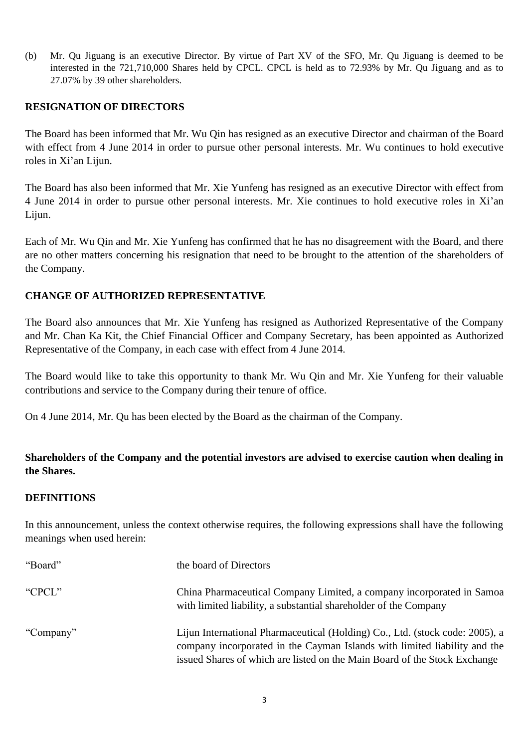(b) Mr. Qu Jiguang is an executive Director. By virtue of Part XV of the SFO, Mr. Qu Jiguang is deemed to be interested in the 721,710,000 Shares held by CPCL. CPCL is held as to 72.93% by Mr. Qu Jiguang and as to 27.07% by 39 other shareholders.

### **RESIGNATION OF DIRECTORS**

The Board has been informed that Mr. Wu Qin has resigned as an executive Director and chairman of the Board with effect from 4 June 2014 in order to pursue other personal interests. Mr. Wu continues to hold executive roles in Xi'an Lijun.

The Board has also been informed that Mr. Xie Yunfeng has resigned as an executive Director with effect from 4 June 2014 in order to pursue other personal interests. Mr. Xie continues to hold executive roles in Xi'an Lijun.

Each of Mr. Wu Qin and Mr. Xie Yunfeng has confirmed that he has no disagreement with the Board, and there are no other matters concerning his resignation that need to be brought to the attention of the shareholders of the Company.

# **CHANGE OF AUTHORIZED REPRESENTATIVE**

The Board also announces that Mr. Xie Yunfeng has resigned as Authorized Representative of the Company and Mr. Chan Ka Kit, the Chief Financial Officer and Company Secretary, has been appointed as Authorized Representative of the Company, in each case with effect from 4 June 2014.

The Board would like to take this opportunity to thank Mr. Wu Qin and Mr. Xie Yunfeng for their valuable contributions and service to the Company during their tenure of office.

On 4 June 2014, Mr. Qu has been elected by the Board as the chairman of the Company.

# **Shareholders of the Company and the potential investors are advised to exercise caution when dealing in the Shares.**

#### **DEFINITIONS**

In this announcement, unless the context otherwise requires, the following expressions shall have the following meanings when used herein:

| "Board"   | the board of Directors                                                                                                                                                                                                                 |
|-----------|----------------------------------------------------------------------------------------------------------------------------------------------------------------------------------------------------------------------------------------|
| "CPCL"    | China Pharmaceutical Company Limited, a company incorporated in Samoa<br>with limited liability, a substantial shareholder of the Company                                                                                              |
| "Company" | Lijun International Pharmaceutical (Holding) Co., Ltd. (stock code: 2005), a<br>company incorporated in the Cayman Islands with limited liability and the<br>issued Shares of which are listed on the Main Board of the Stock Exchange |